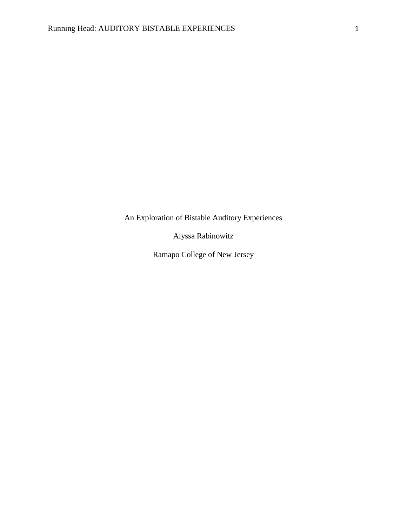An Exploration of Bistable Auditory Experiences

Alyssa Rabinowitz

Ramapo College of New Jersey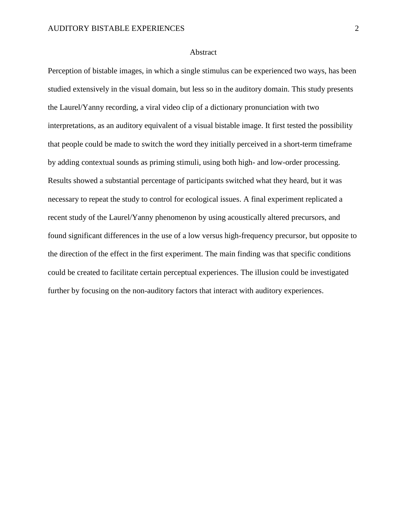#### Abstract

Perception of bistable images, in which a single stimulus can be experienced two ways, has been studied extensively in the visual domain, but less so in the auditory domain. This study presents the Laurel/Yanny recording, a viral video clip of a dictionary pronunciation with two interpretations, as an auditory equivalent of a visual bistable image. It first tested the possibility that people could be made to switch the word they initially perceived in a short-term timeframe by adding contextual sounds as priming stimuli, using both high- and low-order processing. Results showed a substantial percentage of participants switched what they heard, but it was necessary to repeat the study to control for ecological issues. A final experiment replicated a recent study of the Laurel/Yanny phenomenon by using acoustically altered precursors, and found significant differences in the use of a low versus high-frequency precursor, but opposite to the direction of the effect in the first experiment. The main finding was that specific conditions could be created to facilitate certain perceptual experiences. The illusion could be investigated further by focusing on the non-auditory factors that interact with auditory experiences.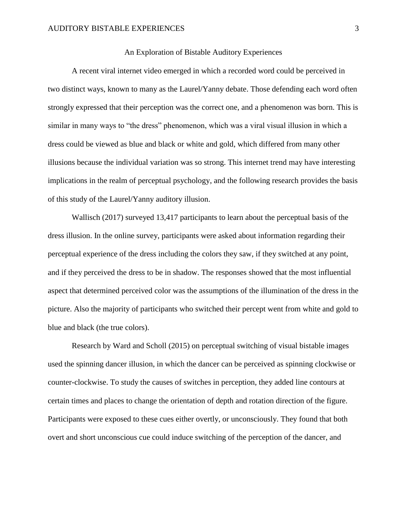#### An Exploration of Bistable Auditory Experiences

A recent viral internet video emerged in which a recorded word could be perceived in two distinct ways, known to many as the Laurel/Yanny debate. Those defending each word often strongly expressed that their perception was the correct one, and a phenomenon was born. This is similar in many ways to "the dress" phenomenon, which was a viral visual illusion in which a dress could be viewed as blue and black or white and gold, which differed from many other illusions because the individual variation was so strong. This internet trend may have interesting implications in the realm of perceptual psychology, and the following research provides the basis of this study of the Laurel/Yanny auditory illusion.

Wallisch (2017) surveyed 13,417 participants to learn about the perceptual basis of the dress illusion. In the online survey, participants were asked about information regarding their perceptual experience of the dress including the colors they saw, if they switched at any point, and if they perceived the dress to be in shadow. The responses showed that the most influential aspect that determined perceived color was the assumptions of the illumination of the dress in the picture. Also the majority of participants who switched their percept went from white and gold to blue and black (the true colors).

Research by Ward and Scholl (2015) on perceptual switching of visual bistable images used the spinning dancer illusion, in which the dancer can be perceived as spinning clockwise or counter-clockwise. To study the causes of switches in perception, they added line contours at certain times and places to change the orientation of depth and rotation direction of the figure. Participants were exposed to these cues either overtly, or unconsciously. They found that both overt and short unconscious cue could induce switching of the perception of the dancer, and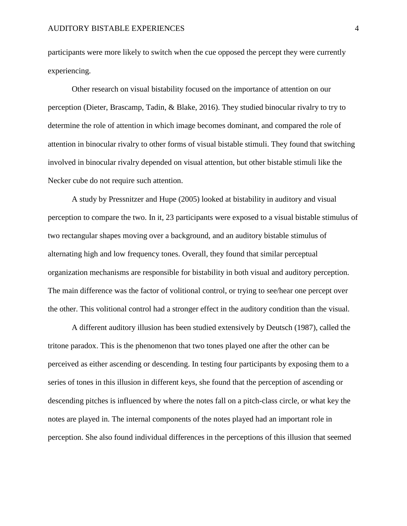participants were more likely to switch when the cue opposed the percept they were currently experiencing.

Other research on visual bistability focused on the importance of attention on our perception (Dieter, Brascamp, Tadin, & Blake, 2016). They studied binocular rivalry to try to determine the role of attention in which image becomes dominant, and compared the role of attention in binocular rivalry to other forms of visual bistable stimuli. They found that switching involved in binocular rivalry depended on visual attention, but other bistable stimuli like the Necker cube do not require such attention.

A study by Pressnitzer and Hupe (2005) looked at bistability in auditory and visual perception to compare the two. In it, 23 participants were exposed to a visual bistable stimulus of two rectangular shapes moving over a background, and an auditory bistable stimulus of alternating high and low frequency tones. Overall, they found that similar perceptual organization mechanisms are responsible for bistability in both visual and auditory perception. The main difference was the factor of volitional control, or trying to see/hear one percept over the other. This volitional control had a stronger effect in the auditory condition than the visual.

A different auditory illusion has been studied extensively by Deutsch (1987), called the tritone paradox. This is the phenomenon that two tones played one after the other can be perceived as either ascending or descending. In testing four participants by exposing them to a series of tones in this illusion in different keys, she found that the perception of ascending or descending pitches is influenced by where the notes fall on a pitch-class circle, or what key the notes are played in. The internal components of the notes played had an important role in perception. She also found individual differences in the perceptions of this illusion that seemed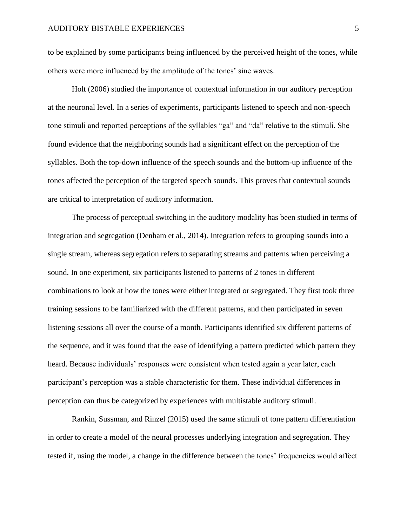to be explained by some participants being influenced by the perceived height of the tones, while others were more influenced by the amplitude of the tones' sine waves.

Holt (2006) studied the importance of contextual information in our auditory perception at the neuronal level. In a series of experiments, participants listened to speech and non-speech tone stimuli and reported perceptions of the syllables "ga" and "da" relative to the stimuli. She found evidence that the neighboring sounds had a significant effect on the perception of the syllables. Both the top-down influence of the speech sounds and the bottom-up influence of the tones affected the perception of the targeted speech sounds. This proves that contextual sounds are critical to interpretation of auditory information.

The process of perceptual switching in the auditory modality has been studied in terms of integration and segregation (Denham et al., 2014). Integration refers to grouping sounds into a single stream, whereas segregation refers to separating streams and patterns when perceiving a sound. In one experiment, six participants listened to patterns of 2 tones in different combinations to look at how the tones were either integrated or segregated. They first took three training sessions to be familiarized with the different patterns, and then participated in seven listening sessions all over the course of a month. Participants identified six different patterns of the sequence, and it was found that the ease of identifying a pattern predicted which pattern they heard. Because individuals' responses were consistent when tested again a year later, each participant's perception was a stable characteristic for them. These individual differences in perception can thus be categorized by experiences with multistable auditory stimuli.

Rankin, Sussman, and Rinzel (2015) used the same stimuli of tone pattern differentiation in order to create a model of the neural processes underlying integration and segregation. They tested if, using the model, a change in the difference between the tones' frequencies would affect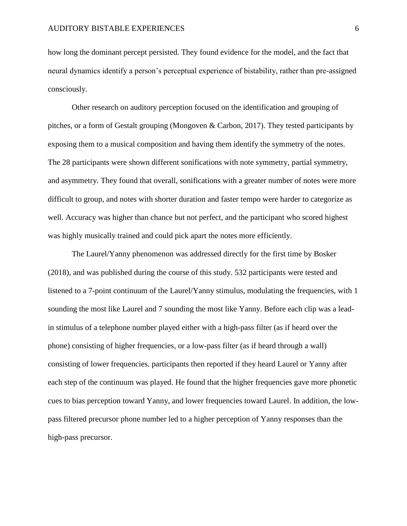how long the dominant percept persisted. They found evidence for the model, and the fact that neural dynamics identify a person's perceptual experience of bistability, rather than pre-assigned consciously.

Other research on auditory perception focused on the identification and grouping of pitches, or a form of Gestalt grouping (Mongoven & Carbon, 2017). They tested participants by exposing them to a musical composition and having them identify the symmetry of the notes. The 28 participants were shown different sonifications with note symmetry, partial symmetry, and asymmetry. They found that overall, sonifications with a greater number of notes were more difficult to group, and notes with shorter duration and faster tempo were harder to categorize as well. Accuracy was higher than chance but not perfect, and the participant who scored highest was highly musically trained and could pick apart the notes more efficiently.

The Laurel/Yanny phenomenon was addressed directly for the first time by Bosker (2018), and was published during the course of this study. 532 participants were tested and listened to a 7-point continuum of the Laurel/Yanny stimulus, modulating the frequencies, with 1 sounding the most like Laurel and 7 sounding the most like Yanny. Before each clip was a leadin stimulus of a telephone number played either with a high-pass filter (as if heard over the phone) consisting of higher frequencies, or a low-pass filter (as if heard through a wall) consisting of lower frequencies. participants then reported if they heard Laurel or Yanny after each step of the continuum was played. He found that the higher frequencies gave more phonetic cues to bias perception toward Yanny, and lower frequencies toward Laurel. In addition, the lowpass filtered precursor phone number led to a higher perception of Yanny responses than the high-pass precursor.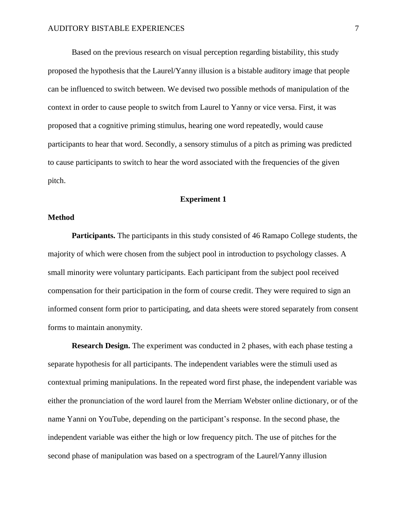Based on the previous research on visual perception regarding bistability, this study proposed the hypothesis that the Laurel/Yanny illusion is a bistable auditory image that people can be influenced to switch between. We devised two possible methods of manipulation of the context in order to cause people to switch from Laurel to Yanny or vice versa. First, it was proposed that a cognitive priming stimulus, hearing one word repeatedly, would cause participants to hear that word. Secondly, a sensory stimulus of a pitch as priming was predicted to cause participants to switch to hear the word associated with the frequencies of the given pitch.

## **Experiment 1**

### **Method**

**Participants.** The participants in this study consisted of 46 Ramapo College students, the majority of which were chosen from the subject pool in introduction to psychology classes. A small minority were voluntary participants. Each participant from the subject pool received compensation for their participation in the form of course credit. They were required to sign an informed consent form prior to participating, and data sheets were stored separately from consent forms to maintain anonymity.

**Research Design.** The experiment was conducted in 2 phases, with each phase testing a separate hypothesis for all participants. The independent variables were the stimuli used as contextual priming manipulations. In the repeated word first phase, the independent variable was either the pronunciation of the word laurel from the Merriam Webster online dictionary, or of the name Yanni on YouTube, depending on the participant's response. In the second phase, the independent variable was either the high or low frequency pitch. The use of pitches for the second phase of manipulation was based on a spectrogram of the Laurel/Yanny illusion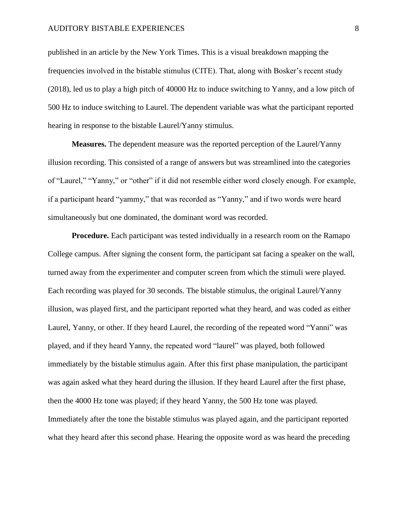#### AUDITORY BISTABLE EXPERIENCES 8

published in an article by the New York Times. This is a visual breakdown mapping the frequencies involved in the bistable stimulus (CITE). That, along with Bosker's recent study (2018), led us to play a high pitch of 40000 Hz to induce switching to Yanny, and a low pitch of 500 Hz to induce switching to Laurel. The dependent variable was what the participant reported hearing in response to the bistable Laurel/Yanny stimulus.

**Measures.** The dependent measure was the reported perception of the Laurel/Yanny illusion recording. This consisted of a range of answers but was streamlined into the categories of "Laurel," "Yanny," or "other" if it did not resemble either word closely enough. For example, if a participant heard "yammy," that was recorded as "Yanny," and if two words were heard simultaneously but one dominated, the dominant word was recorded.

**Procedure.** Each participant was tested individually in a research room on the Ramapo College campus. After signing the consent form, the participant sat facing a speaker on the wall, turned away from the experimenter and computer screen from which the stimuli were played. Each recording was played for 30 seconds. The bistable stimulus, the original Laurel/Yanny illusion, was played first, and the participant reported what they heard, and was coded as either Laurel, Yanny, or other. If they heard Laurel, the recording of the repeated word "Yanni" was played, and if they heard Yanny, the repeated word "laurel" was played, both followed immediately by the bistable stimulus again. After this first phase manipulation, the participant was again asked what they heard during the illusion. If they heard Laurel after the first phase, then the 4000 Hz tone was played; if they heard Yanny, the 500 Hz tone was played. Immediately after the tone the bistable stimulus was played again, and the participant reported what they heard after this second phase. Hearing the opposite word as was heard the preceding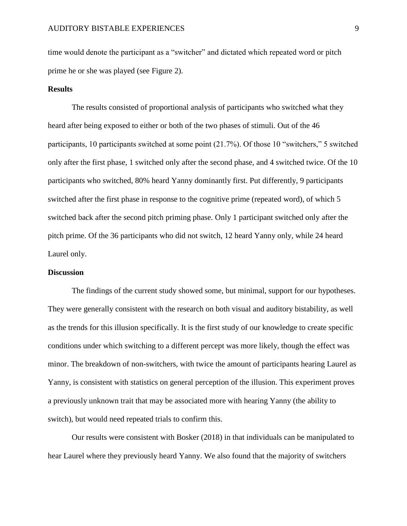time would denote the participant as a "switcher" and dictated which repeated word or pitch prime he or she was played (see Figure 2).

#### **Results**

The results consisted of proportional analysis of participants who switched what they heard after being exposed to either or both of the two phases of stimuli. Out of the 46 participants, 10 participants switched at some point (21.7%). Of those 10 "switchers," 5 switched only after the first phase, 1 switched only after the second phase, and 4 switched twice. Of the 10 participants who switched, 80% heard Yanny dominantly first. Put differently, 9 participants switched after the first phase in response to the cognitive prime (repeated word), of which 5 switched back after the second pitch priming phase. Only 1 participant switched only after the pitch prime. Of the 36 participants who did not switch, 12 heard Yanny only, while 24 heard Laurel only.

## **Discussion**

The findings of the current study showed some, but minimal, support for our hypotheses. They were generally consistent with the research on both visual and auditory bistability, as well as the trends for this illusion specifically. It is the first study of our knowledge to create specific conditions under which switching to a different percept was more likely, though the effect was minor. The breakdown of non-switchers, with twice the amount of participants hearing Laurel as Yanny, is consistent with statistics on general perception of the illusion. This experiment proves a previously unknown trait that may be associated more with hearing Yanny (the ability to switch), but would need repeated trials to confirm this.

Our results were consistent with Bosker (2018) in that individuals can be manipulated to hear Laurel where they previously heard Yanny. We also found that the majority of switchers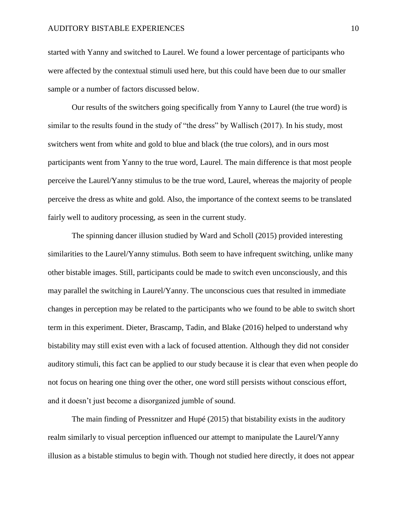started with Yanny and switched to Laurel. We found a lower percentage of participants who were affected by the contextual stimuli used here, but this could have been due to our smaller sample or a number of factors discussed below.

Our results of the switchers going specifically from Yanny to Laurel (the true word) is similar to the results found in the study of "the dress" by Wallisch (2017). In his study, most switchers went from white and gold to blue and black (the true colors), and in ours most participants went from Yanny to the true word, Laurel. The main difference is that most people perceive the Laurel/Yanny stimulus to be the true word, Laurel, whereas the majority of people perceive the dress as white and gold. Also, the importance of the context seems to be translated fairly well to auditory processing, as seen in the current study.

The spinning dancer illusion studied by Ward and Scholl (2015) provided interesting similarities to the Laurel/Yanny stimulus. Both seem to have infrequent switching, unlike many other bistable images. Still, participants could be made to switch even unconsciously, and this may parallel the switching in Laurel/Yanny. The unconscious cues that resulted in immediate changes in perception may be related to the participants who we found to be able to switch short term in this experiment. Dieter, Brascamp, Tadin, and Blake (2016) helped to understand why bistability may still exist even with a lack of focused attention. Although they did not consider auditory stimuli, this fact can be applied to our study because it is clear that even when people do not focus on hearing one thing over the other, one word still persists without conscious effort, and it doesn't just become a disorganized jumble of sound.

The main finding of Pressnitzer and Hupé (2015) that bistability exists in the auditory realm similarly to visual perception influenced our attempt to manipulate the Laurel/Yanny illusion as a bistable stimulus to begin with. Though not studied here directly, it does not appear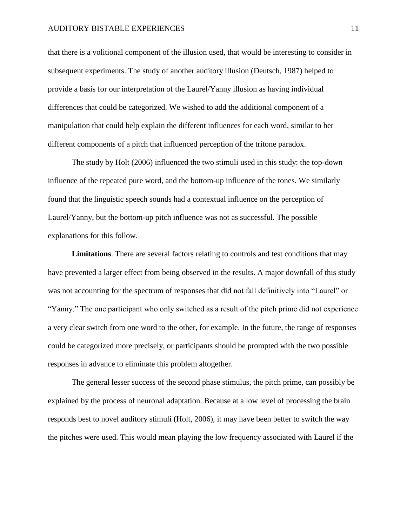#### AUDITORY BISTABLE EXPERIENCES 11

that there is a volitional component of the illusion used, that would be interesting to consider in subsequent experiments. The study of another auditory illusion (Deutsch, 1987) helped to provide a basis for our interpretation of the Laurel/Yanny illusion as having individual differences that could be categorized. We wished to add the additional component of a manipulation that could help explain the different influences for each word, similar to her different components of a pitch that influenced perception of the tritone paradox.

The study by Holt (2006) influenced the two stimuli used in this study: the top-down influence of the repeated pure word, and the bottom-up influence of the tones. We similarly found that the linguistic speech sounds had a contextual influence on the perception of Laurel/Yanny, but the bottom-up pitch influence was not as successful. The possible explanations for this follow.

**Limitations**. There are several factors relating to controls and test conditions that may have prevented a larger effect from being observed in the results. A major downfall of this study was not accounting for the spectrum of responses that did not fall definitively into "Laurel" or "Yanny." The one participant who only switched as a result of the pitch prime did not experience a very clear switch from one word to the other, for example. In the future, the range of responses could be categorized more precisely, or participants should be prompted with the two possible responses in advance to eliminate this problem altogether.

The general lesser success of the second phase stimulus, the pitch prime, can possibly be explained by the process of neuronal adaptation. Because at a low level of processing the brain responds best to novel auditory stimuli (Holt, 2006), it may have been better to switch the way the pitches were used. This would mean playing the low frequency associated with Laurel if the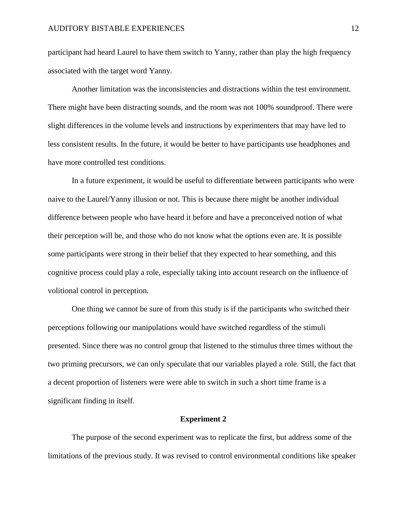participant had heard Laurel to have them switch to Yanny, rather than play the high frequency associated with the target word Yanny.

Another limitation was the inconsistencies and distractions within the test environment. There might have been distracting sounds, and the room was not 100% soundproof. There were slight differences in the volume levels and instructions by experimenters that may have led to less consistent results. In the future, it would be better to have participants use headphones and have more controlled test conditions.

In a future experiment, it would be useful to differentiate between participants who were naive to the Laurel/Yanny illusion or not. This is because there might be another individual difference between people who have heard it before and have a preconceived notion of what their perception will be, and those who do not know what the options even are. It is possible some participants were strong in their belief that they expected to hear something, and this cognitive process could play a role, especially taking into account research on the influence of volitional control in perception.

One thing we cannot be sure of from this study is if the participants who switched their perceptions following our manipulations would have switched regardless of the stimuli presented. Since there was no control group that listened to the stimulus three times without the two priming precursors, we can only speculate that our variables played a role. Still, the fact that a decent proportion of listeners were were able to switch in such a short time frame is a significant finding in itself.

#### **Experiment 2**

The purpose of the second experiment was to replicate the first, but address some of the limitations of the previous study. It was revised to control environmental conditions like speaker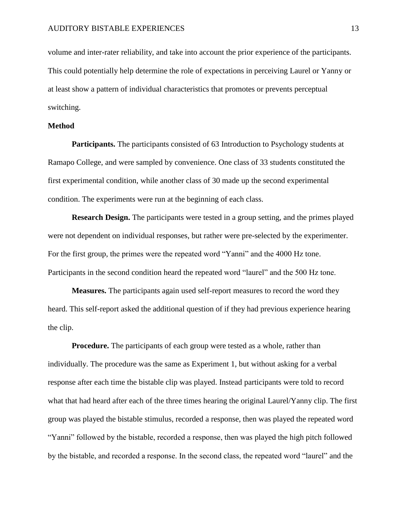volume and inter-rater reliability, and take into account the prior experience of the participants. This could potentially help determine the role of expectations in perceiving Laurel or Yanny or at least show a pattern of individual characteristics that promotes or prevents perceptual switching.

### **Method**

**Participants.** The participants consisted of 63 Introduction to Psychology students at Ramapo College, and were sampled by convenience. One class of 33 students constituted the first experimental condition, while another class of 30 made up the second experimental condition. The experiments were run at the beginning of each class.

**Research Design.** The participants were tested in a group setting, and the primes played were not dependent on individual responses, but rather were pre-selected by the experimenter. For the first group, the primes were the repeated word "Yanni" and the 4000 Hz tone. Participants in the second condition heard the repeated word "laurel" and the 500 Hz tone.

**Measures.** The participants again used self-report measures to record the word they heard. This self-report asked the additional question of if they had previous experience hearing the clip.

**Procedure.** The participants of each group were tested as a whole, rather than individually. The procedure was the same as Experiment 1, but without asking for a verbal response after each time the bistable clip was played. Instead participants were told to record what that had heard after each of the three times hearing the original Laurel/Yanny clip. The first group was played the bistable stimulus, recorded a response, then was played the repeated word "Yanni" followed by the bistable, recorded a response, then was played the high pitch followed by the bistable, and recorded a response. In the second class, the repeated word "laurel" and the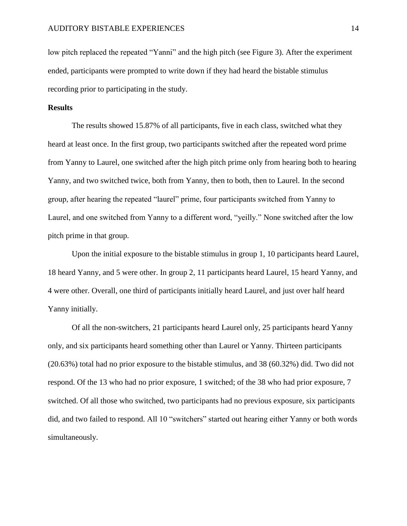low pitch replaced the repeated "Yanni" and the high pitch (see Figure 3). After the experiment ended, participants were prompted to write down if they had heard the bistable stimulus recording prior to participating in the study.

## **Results**

The results showed 15.87% of all participants, five in each class, switched what they heard at least once. In the first group, two participants switched after the repeated word prime from Yanny to Laurel, one switched after the high pitch prime only from hearing both to hearing Yanny, and two switched twice, both from Yanny, then to both, then to Laurel. In the second group, after hearing the repeated "laurel" prime, four participants switched from Yanny to Laurel, and one switched from Yanny to a different word, "yeilly." None switched after the low pitch prime in that group.

Upon the initial exposure to the bistable stimulus in group 1, 10 participants heard Laurel, 18 heard Yanny, and 5 were other. In group 2, 11 participants heard Laurel, 15 heard Yanny, and 4 were other. Overall, one third of participants initially heard Laurel, and just over half heard Yanny initially.

Of all the non-switchers, 21 participants heard Laurel only, 25 participants heard Yanny only, and six participants heard something other than Laurel or Yanny. Thirteen participants (20.63%) total had no prior exposure to the bistable stimulus, and 38 (60.32%) did. Two did not respond. Of the 13 who had no prior exposure, 1 switched; of the 38 who had prior exposure, 7 switched. Of all those who switched, two participants had no previous exposure, six participants did, and two failed to respond. All 10 "switchers" started out hearing either Yanny or both words simultaneously.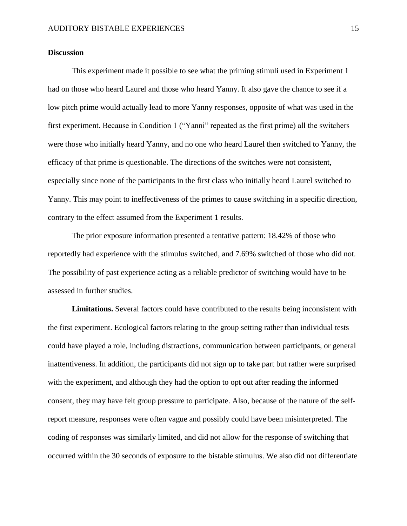## **Discussion**

This experiment made it possible to see what the priming stimuli used in Experiment 1 had on those who heard Laurel and those who heard Yanny. It also gave the chance to see if a low pitch prime would actually lead to more Yanny responses, opposite of what was used in the first experiment. Because in Condition 1 ("Yanni" repeated as the first prime) all the switchers were those who initially heard Yanny, and no one who heard Laurel then switched to Yanny, the efficacy of that prime is questionable. The directions of the switches were not consistent, especially since none of the participants in the first class who initially heard Laurel switched to Yanny. This may point to ineffectiveness of the primes to cause switching in a specific direction, contrary to the effect assumed from the Experiment 1 results.

The prior exposure information presented a tentative pattern: 18.42% of those who reportedly had experience with the stimulus switched, and 7.69% switched of those who did not. The possibility of past experience acting as a reliable predictor of switching would have to be assessed in further studies.

**Limitations.** Several factors could have contributed to the results being inconsistent with the first experiment. Ecological factors relating to the group setting rather than individual tests could have played a role, including distractions, communication between participants, or general inattentiveness. In addition, the participants did not sign up to take part but rather were surprised with the experiment, and although they had the option to opt out after reading the informed consent, they may have felt group pressure to participate. Also, because of the nature of the selfreport measure, responses were often vague and possibly could have been misinterpreted. The coding of responses was similarly limited, and did not allow for the response of switching that occurred within the 30 seconds of exposure to the bistable stimulus. We also did not differentiate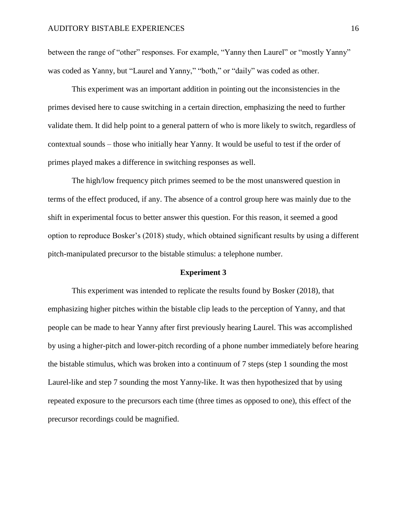between the range of "other" responses. For example, "Yanny then Laurel" or "mostly Yanny" was coded as Yanny, but "Laurel and Yanny," "both," or "daily" was coded as other.

This experiment was an important addition in pointing out the inconsistencies in the primes devised here to cause switching in a certain direction, emphasizing the need to further validate them. It did help point to a general pattern of who is more likely to switch, regardless of contextual sounds – those who initially hear Yanny. It would be useful to test if the order of primes played makes a difference in switching responses as well.

The high/low frequency pitch primes seemed to be the most unanswered question in terms of the effect produced, if any. The absence of a control group here was mainly due to the shift in experimental focus to better answer this question. For this reason, it seemed a good option to reproduce Bosker's (2018) study, which obtained significant results by using a different pitch-manipulated precursor to the bistable stimulus: a telephone number.

#### **Experiment 3**

This experiment was intended to replicate the results found by Bosker (2018), that emphasizing higher pitches within the bistable clip leads to the perception of Yanny, and that people can be made to hear Yanny after first previously hearing Laurel. This was accomplished by using a higher-pitch and lower-pitch recording of a phone number immediately before hearing the bistable stimulus, which was broken into a continuum of 7 steps (step 1 sounding the most Laurel-like and step 7 sounding the most Yanny-like. It was then hypothesized that by using repeated exposure to the precursors each time (three times as opposed to one), this effect of the precursor recordings could be magnified.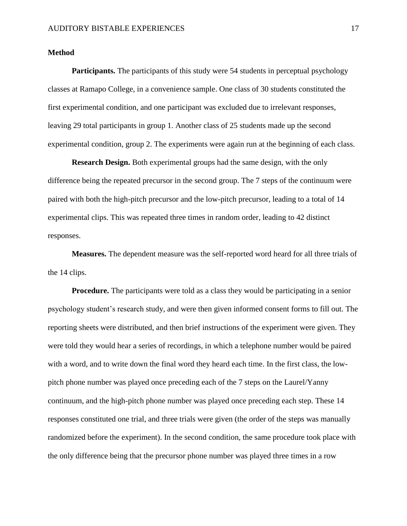### **Method**

**Participants.** The participants of this study were 54 students in perceptual psychology classes at Ramapo College, in a convenience sample. One class of 30 students constituted the first experimental condition, and one participant was excluded due to irrelevant responses, leaving 29 total participants in group 1. Another class of 25 students made up the second experimental condition, group 2. The experiments were again run at the beginning of each class.

**Research Design.** Both experimental groups had the same design, with the only difference being the repeated precursor in the second group. The 7 steps of the continuum were paired with both the high-pitch precursor and the low-pitch precursor, leading to a total of 14 experimental clips. This was repeated three times in random order, leading to 42 distinct responses.

**Measures.** The dependent measure was the self-reported word heard for all three trials of the 14 clips.

**Procedure.** The participants were told as a class they would be participating in a senior psychology student's research study, and were then given informed consent forms to fill out. The reporting sheets were distributed, and then brief instructions of the experiment were given. They were told they would hear a series of recordings, in which a telephone number would be paired with a word, and to write down the final word they heard each time. In the first class, the lowpitch phone number was played once preceding each of the 7 steps on the Laurel/Yanny continuum, and the high-pitch phone number was played once preceding each step. These 14 responses constituted one trial, and three trials were given (the order of the steps was manually randomized before the experiment). In the second condition, the same procedure took place with the only difference being that the precursor phone number was played three times in a row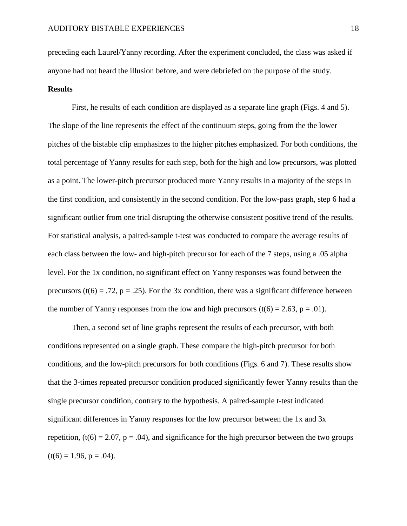preceding each Laurel/Yanny recording. After the experiment concluded, the class was asked if anyone had not heard the illusion before, and were debriefed on the purpose of the study.

#### **Results**

First, he results of each condition are displayed as a separate line graph (Figs. 4 and 5). The slope of the line represents the effect of the continuum steps, going from the the lower pitches of the bistable clip emphasizes to the higher pitches emphasized. For both conditions, the total percentage of Yanny results for each step, both for the high and low precursors, was plotted as a point. The lower-pitch precursor produced more Yanny results in a majority of the steps in the first condition, and consistently in the second condition. For the low-pass graph, step 6 had a significant outlier from one trial disrupting the otherwise consistent positive trend of the results. For statistical analysis, a paired-sample t-test was conducted to compare the average results of each class between the low- and high-pitch precursor for each of the 7 steps, using a .05 alpha level. For the 1x condition, no significant effect on Yanny responses was found between the precursors (t(6) = .72, p = .25). For the 3x condition, there was a significant difference between the number of Yanny responses from the low and high precursors (t(6) = 2.63, p = .01).

Then, a second set of line graphs represent the results of each precursor, with both conditions represented on a single graph. These compare the high-pitch precursor for both conditions, and the low-pitch precursors for both conditions (Figs. 6 and 7). These results show that the 3-times repeated precursor condition produced significantly fewer Yanny results than the single precursor condition, contrary to the hypothesis. A paired-sample t-test indicated significant differences in Yanny responses for the low precursor between the 1x and 3x repetition,  $(t(6) = 2.07, p = .04)$ , and significance for the high precursor between the two groups  $(t(6) = 1.96, p = .04)$ .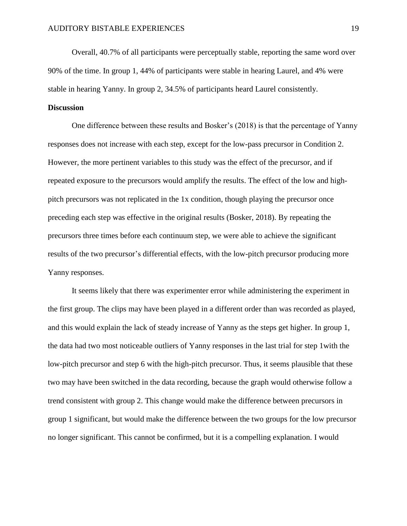Overall, 40.7% of all participants were perceptually stable, reporting the same word over 90% of the time. In group 1, 44% of participants were stable in hearing Laurel, and 4% were stable in hearing Yanny. In group 2, 34.5% of participants heard Laurel consistently.

# **Discussion**

One difference between these results and Bosker's (2018) is that the percentage of Yanny responses does not increase with each step, except for the low-pass precursor in Condition 2. However, the more pertinent variables to this study was the effect of the precursor, and if repeated exposure to the precursors would amplify the results. The effect of the low and highpitch precursors was not replicated in the 1x condition, though playing the precursor once preceding each step was effective in the original results (Bosker, 2018). By repeating the precursors three times before each continuum step, we were able to achieve the significant results of the two precursor's differential effects, with the low-pitch precursor producing more Yanny responses.

It seems likely that there was experimenter error while administering the experiment in the first group. The clips may have been played in a different order than was recorded as played, and this would explain the lack of steady increase of Yanny as the steps get higher. In group 1, the data had two most noticeable outliers of Yanny responses in the last trial for step 1with the low-pitch precursor and step 6 with the high-pitch precursor. Thus, it seems plausible that these two may have been switched in the data recording, because the graph would otherwise follow a trend consistent with group 2. This change would make the difference between precursors in group 1 significant, but would make the difference between the two groups for the low precursor no longer significant. This cannot be confirmed, but it is a compelling explanation. I would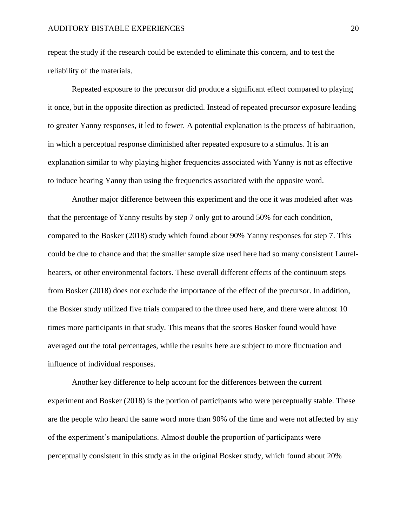repeat the study if the research could be extended to eliminate this concern, and to test the reliability of the materials.

Repeated exposure to the precursor did produce a significant effect compared to playing it once, but in the opposite direction as predicted. Instead of repeated precursor exposure leading to greater Yanny responses, it led to fewer. A potential explanation is the process of habituation, in which a perceptual response diminished after repeated exposure to a stimulus. It is an explanation similar to why playing higher frequencies associated with Yanny is not as effective to induce hearing Yanny than using the frequencies associated with the opposite word.

Another major difference between this experiment and the one it was modeled after was that the percentage of Yanny results by step 7 only got to around 50% for each condition, compared to the Bosker (2018) study which found about 90% Yanny responses for step 7. This could be due to chance and that the smaller sample size used here had so many consistent Laurelhearers, or other environmental factors. These overall different effects of the continuum steps from Bosker (2018) does not exclude the importance of the effect of the precursor. In addition, the Bosker study utilized five trials compared to the three used here, and there were almost 10 times more participants in that study. This means that the scores Bosker found would have averaged out the total percentages, while the results here are subject to more fluctuation and influence of individual responses.

Another key difference to help account for the differences between the current experiment and Bosker (2018) is the portion of participants who were perceptually stable. These are the people who heard the same word more than 90% of the time and were not affected by any of the experiment's manipulations. Almost double the proportion of participants were perceptually consistent in this study as in the original Bosker study, which found about 20%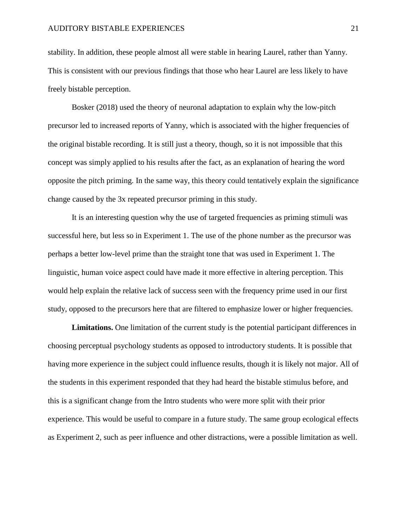stability. In addition, these people almost all were stable in hearing Laurel, rather than Yanny. This is consistent with our previous findings that those who hear Laurel are less likely to have freely bistable perception.

Bosker (2018) used the theory of neuronal adaptation to explain why the low-pitch precursor led to increased reports of Yanny, which is associated with the higher frequencies of the original bistable recording. It is still just a theory, though, so it is not impossible that this concept was simply applied to his results after the fact, as an explanation of hearing the word opposite the pitch priming. In the same way, this theory could tentatively explain the significance change caused by the 3x repeated precursor priming in this study.

It is an interesting question why the use of targeted frequencies as priming stimuli was successful here, but less so in Experiment 1. The use of the phone number as the precursor was perhaps a better low-level prime than the straight tone that was used in Experiment 1. The linguistic, human voice aspect could have made it more effective in altering perception. This would help explain the relative lack of success seen with the frequency prime used in our first study, opposed to the precursors here that are filtered to emphasize lower or higher frequencies.

**Limitations.** One limitation of the current study is the potential participant differences in choosing perceptual psychology students as opposed to introductory students. It is possible that having more experience in the subject could influence results, though it is likely not major. All of the students in this experiment responded that they had heard the bistable stimulus before, and this is a significant change from the Intro students who were more split with their prior experience. This would be useful to compare in a future study. The same group ecological effects as Experiment 2, such as peer influence and other distractions, were a possible limitation as well.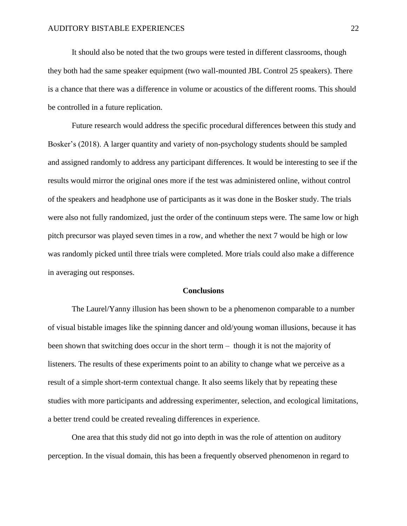It should also be noted that the two groups were tested in different classrooms, though they both had the same speaker equipment (two wall-mounted JBL Control 25 speakers). There is a chance that there was a difference in volume or acoustics of the different rooms. This should be controlled in a future replication.

Future research would address the specific procedural differences between this study and Bosker's (2018). A larger quantity and variety of non-psychology students should be sampled and assigned randomly to address any participant differences. It would be interesting to see if the results would mirror the original ones more if the test was administered online, without control of the speakers and headphone use of participants as it was done in the Bosker study. The trials were also not fully randomized, just the order of the continuum steps were. The same low or high pitch precursor was played seven times in a row, and whether the next 7 would be high or low was randomly picked until three trials were completed. More trials could also make a difference in averaging out responses.

## **Conclusions**

The Laurel/Yanny illusion has been shown to be a phenomenon comparable to a number of visual bistable images like the spinning dancer and old/young woman illusions, because it has been shown that switching does occur in the short term – though it is not the majority of listeners. The results of these experiments point to an ability to change what we perceive as a result of a simple short-term contextual change. It also seems likely that by repeating these studies with more participants and addressing experimenter, selection, and ecological limitations, a better trend could be created revealing differences in experience.

One area that this study did not go into depth in was the role of attention on auditory perception. In the visual domain, this has been a frequently observed phenomenon in regard to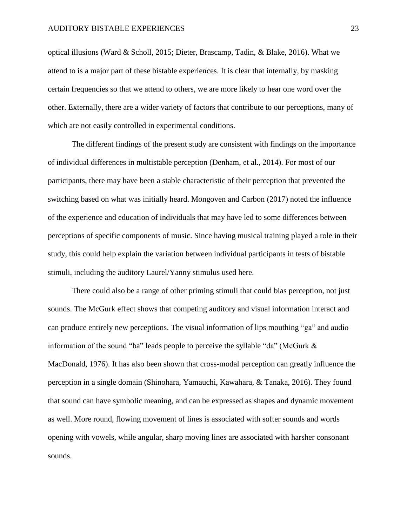optical illusions (Ward & Scholl, 2015; Dieter, Brascamp, Tadin, & Blake, 2016). What we attend to is a major part of these bistable experiences. It is clear that internally, by masking certain frequencies so that we attend to others, we are more likely to hear one word over the other. Externally, there are a wider variety of factors that contribute to our perceptions, many of which are not easily controlled in experimental conditions.

The different findings of the present study are consistent with findings on the importance of individual differences in multistable perception (Denham, et al., 2014). For most of our participants, there may have been a stable characteristic of their perception that prevented the switching based on what was initially heard. Mongoven and Carbon (2017) noted the influence of the experience and education of individuals that may have led to some differences between perceptions of specific components of music. Since having musical training played a role in their study, this could help explain the variation between individual participants in tests of bistable stimuli, including the auditory Laurel/Yanny stimulus used here.

There could also be a range of other priming stimuli that could bias perception, not just sounds. The McGurk effect shows that competing auditory and visual information interact and can produce entirely new perceptions. The visual information of lips mouthing "ga" and audio information of the sound "ba" leads people to perceive the syllable "da" (McGurk & MacDonald, 1976). It has also been shown that cross-modal perception can greatly influence the perception in a single domain (Shinohara, Yamauchi, Kawahara, & Tanaka, 2016). They found that sound can have symbolic meaning, and can be expressed as shapes and dynamic movement as well. More round, flowing movement of lines is associated with softer sounds and words opening with vowels, while angular, sharp moving lines are associated with harsher consonant sounds.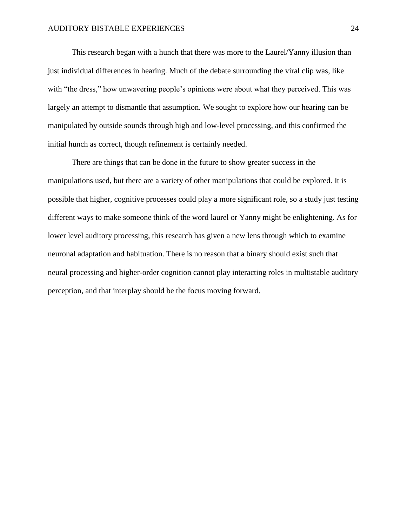This research began with a hunch that there was more to the Laurel/Yanny illusion than just individual differences in hearing. Much of the debate surrounding the viral clip was, like with "the dress," how unwavering people's opinions were about what they perceived. This was largely an attempt to dismantle that assumption. We sought to explore how our hearing can be manipulated by outside sounds through high and low-level processing, and this confirmed the initial hunch as correct, though refinement is certainly needed.

There are things that can be done in the future to show greater success in the manipulations used, but there are a variety of other manipulations that could be explored. It is possible that higher, cognitive processes could play a more significant role, so a study just testing different ways to make someone think of the word laurel or Yanny might be enlightening. As for lower level auditory processing, this research has given a new lens through which to examine neuronal adaptation and habituation. There is no reason that a binary should exist such that neural processing and higher-order cognition cannot play interacting roles in multistable auditory perception, and that interplay should be the focus moving forward.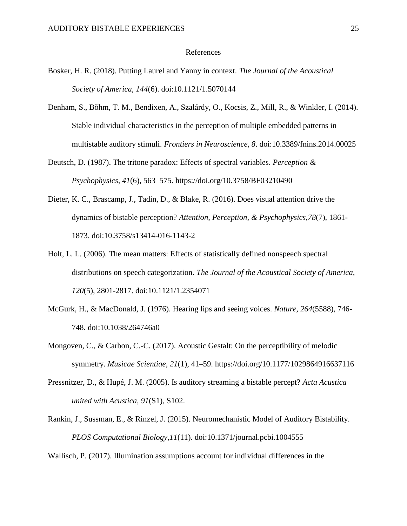#### References

- Bosker, H. R. (2018). Putting Laurel and Yanny in context. *The Journal of the Acoustical Society of America*, *144*(6). doi:10.1121/1.5070144
- Denham, S., Bõhm, T. M., Bendixen, A., Szalárdy, O., Kocsis, Z., Mill, R., & Winkler, I. (2014). Stable individual characteristics in the perception of multiple embedded patterns in multistable auditory stimuli. *Frontiers in Neuroscience, 8*. doi:10.3389/fnins.2014.00025
- Deutsch, D. (1987). The tritone paradox: Effects of spectral variables. *Perception & Psychophysics, 41*(6), 563–575. https://doi.org/10.3758/BF03210490
- Dieter, K. C., Brascamp, J., Tadin, D., & Blake, R. (2016). Does visual attention drive the dynamics of bistable perception? *Attention, Perception, & Psychophysics,78*(7), 1861- 1873. doi:10.3758/s13414-016-1143-2
- Holt, L. L. (2006). The mean matters: Effects of statistically defined nonspeech spectral distributions on speech categorization. *The Journal of the Acoustical Society of America, 120*(5), 2801-2817. doi:10.1121/1.2354071
- McGurk, H., & MacDonald, J. (1976). Hearing lips and seeing voices. *Nature, 264*(5588), 746- 748. doi:10.1038/264746a0
- Mongoven, C., & Carbon, C.-C. (2017). Acoustic Gestalt: On the perceptibility of melodic symmetry. *Musicae Scientiae, 21*(1), 41–59. https://doi.org/10.1177/1029864916637116
- Pressnitzer, D., & Hupé, J. M. (2005). Is auditory streaming a bistable percept? *Acta Acustica united with Acustica, 91*(S1), S102.
- Rankin, J., Sussman, E., & Rinzel, J. (2015). Neuromechanistic Model of Auditory Bistability. *PLOS Computational Biology,11*(11). doi:10.1371/journal.pcbi.1004555

Wallisch, P. (2017). Illumination assumptions account for individual differences in the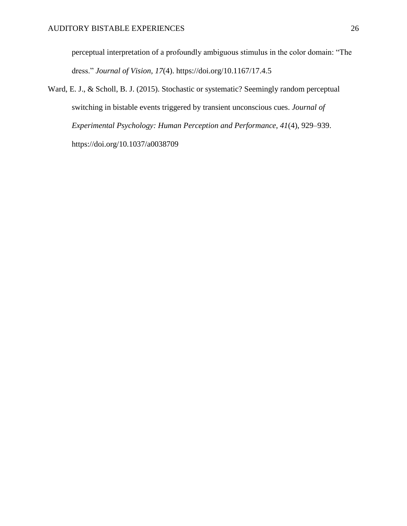perceptual interpretation of a profoundly ambiguous stimulus in the color domain: "The dress." *Journal of Vision, 17*(4). https://doi.org/10.1167/17.4.5

Ward, E. J., & Scholl, B. J. (2015). Stochastic or systematic? Seemingly random perceptual switching in bistable events triggered by transient unconscious cues. *Journal of Experimental Psychology: Human Perception and Performance, 41*(4), 929–939. https://doi.org/10.1037/a0038709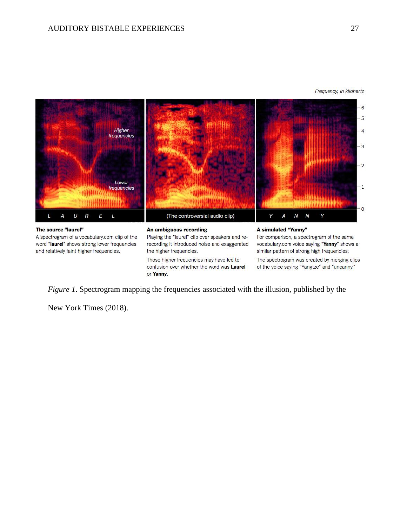



and relatively faint higher frequencies.

the higher frequencies. Those higher frequencies may have led to confusion over whether the word was Laurel or Yanny.

similar pattern of strong high frequencies.

The spectrogram was created by merging clips of the voice saying "Yangtze" and "uncanny."

*Figure 1*. Spectrogram mapping the frequencies associated with the illusion, published by the

New York Times (2018).

 $\cdot$  3

 $\cdot$  2

 $-1$ 

 $\cdot$  0

Frequency, in kilohertz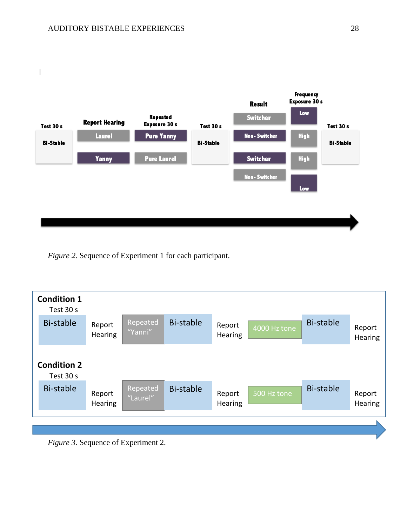

*Figure 2.* Sequence of Experiment 1 for each participant.



*Figure 3.* Sequence of Experiment 2.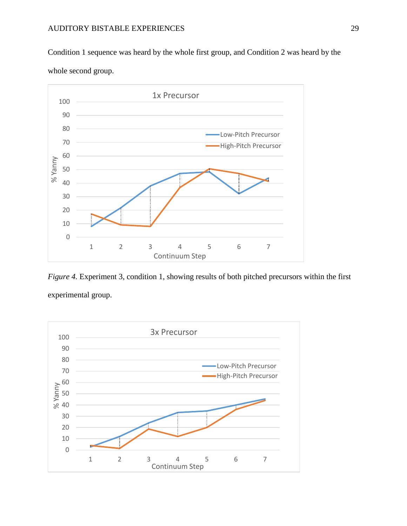Condition 1 sequence was heard by the whole first group, and Condition 2 was heard by the whole second group.



*Figure 4.* Experiment 3, condition 1, showing results of both pitched precursors within the first experimental group.

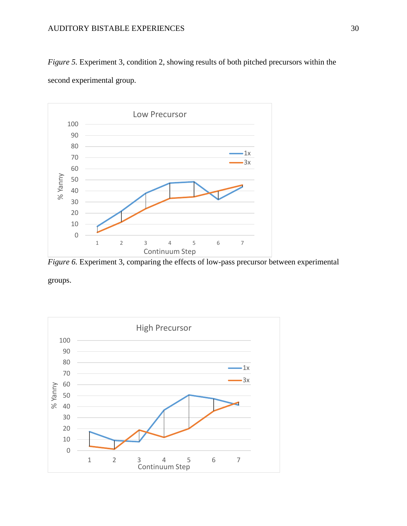*Figure 5.* Experiment 3, condition 2, showing results of both pitched precursors within the second experimental group.



*Figure* 6. Experiment 3, comparing the effects of low-pass precursor between experimental

groups.